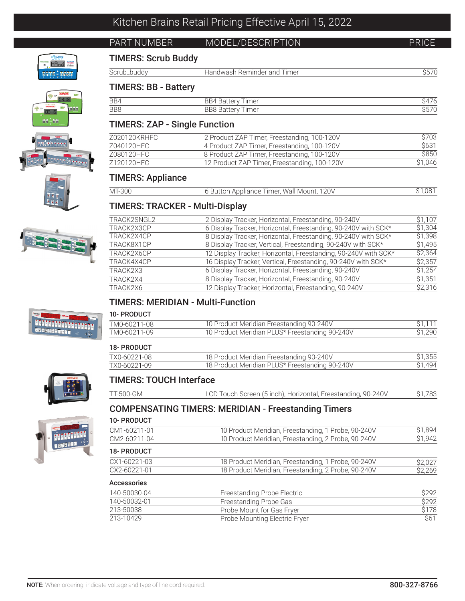# PART NUMBER MODEL/DESCRIPTION PRICE

# TIMERS: Scrub Buddy

| $1 - 1$<br>חו וח | . imer<br>and<br>$\cdots$ iiiiiiiiiiiii $\cdots$<br>$\overline{\phantom{a}}$ $\overline{\phantom{a}}$<br>--<br>. |  |
|------------------|------------------------------------------------------------------------------------------------------------------|--|
|                  |                                                                                                                  |  |

# TIMERS: BB - Battery

| BB4 | <i>imer</i><br>Rai<br>554 ن<br>PULLU |  |
|-----|--------------------------------------|--|
| BB8 | BB8 Bat<br><i>imer</i><br>د .<br>È   |  |

# TIMERS: ZAP - Single Function

| Z020120KRHFC | 2 Product ZAP Timer, Freestanding, 100-120V  | \$703        |
|--------------|----------------------------------------------|--------------|
| Z040120HFC   | 4 Product ZAP Timer, Freestanding, 100-120V  | <b>\$631</b> |
| Z080120HFC   | 8 Product ZAP Timer, Freestanding, 100-120V  | \$850        |
| Z120120HFC   | 12 Product ZAP Timer, Freestanding, 100-120V | \$1.046      |

## TIMERS: Appliance

| MT-300 | 6 Button Appliance Timer, Wall Mount, 120V | 1.08 |
|--------|--------------------------------------------|------|
|        |                                            |      |

# TIMERS: TRACKER - Multi-Display

| TRACK2SNGL2 | 2 Display Tracker, Horizontal, Freestanding, 90-240V            | \$1.107 |
|-------------|-----------------------------------------------------------------|---------|
| TRACK2X3CP  | 6 Display Tracker, Horizontal, Freestanding, 90-240V with SCK*  | \$1,304 |
| TRACK2X4CP  | 8 Display Tracker, Horizontal, Freestanding, 90-240V with SCK*  | \$1,398 |
| TRACK8X1CP  | 8 Display Tracker, Vertical, Freestanding, 90-240V with SCK*    | \$1,495 |
| TRACK2X6CP  | 12 Display Tracker, Horizontal, Freestanding, 90-240V with SCK* | S2,364  |
| TRACK4X4CP  | 16 Display Tracker, Vertical, Freestanding, 90-240V with SCK*   | \$2,357 |
| TRACK2X3    | 6 Display Tracker, Horizontal, Freestanding, 90-240V            | \$1,254 |
| TRACK2X4    | 8 Display Tracker, Horizontal, Freestanding, 90-240V            | \$1,351 |
| TRACK2X6    | 12 Display Tracker, Horizontal, Freestanding, 90-240V           | \$2,316 |
|             |                                                                 |         |

# TIMERS: MERIDIAN - Multi-Function

## 10- PRODUCT

| .            |                                                |         |
|--------------|------------------------------------------------|---------|
| TM0-60211-08 | 10 Product Meridian Freestanding 90-240V       |         |
| TM0-60211-09 | 10 Product Meridian PLUS* Freestanding 90-240V | \$1.290 |

| <b>18- PRODUCT</b> |                                                |                    |
|--------------------|------------------------------------------------|--------------------|
| TX0-60221-08       | 18 Product Meridian Freestanding 90-240V       | \$1,355            |
| TX0-60221-09       | 18 Product Meridian PLUS* Freestanding 90-240V | S <sub>1.494</sub> |

## TIMERS: TOUCH Interface

| TT-500-GM | LCD Touch Screen (5 inch), Horizontal, Freestanding, 90-240V | \$1.783 |
|-----------|--------------------------------------------------------------|---------|
|           |                                                              |         |

# COMPENSATING TIMERS: MERIDIAN - Freestanding Timers

## 10- PRODUCT

| CM1-60211-01       | 10 Product Meridian, Freestanding, 1 Probe, 90-240V | \$1.894 |
|--------------------|-----------------------------------------------------|---------|
| CM2-60211-04       | 10 Product Meridian, Freestanding, 2 Probe, 90-240V | \$1.942 |
| <b>18- PRODUCT</b> |                                                     |         |
| CX1-60221-03       | 18 Product Meridian, Freestanding, 1 Probe, 90-240V | \$2,027 |
| CX2-60221-01       | 18 Product Meridian, Freestanding, 2 Probe, 90-240V | \$2.269 |
|                    |                                                     |         |

### Accessories

| 140-50030-04 | Freestanding Probe Electric   | S292             |
|--------------|-------------------------------|------------------|
| 140-50032-01 | Freestanding Probe Gas        | S <sub>292</sub> |
| 213-50038    | Probe Mount for Gas Fryer     | \$178            |
| 213-10429    | Probe Mounting Electric Fryer | <b>S61</b>       |



<sup>7</sup>iSCRU HAnd **WE** assa - aaaa